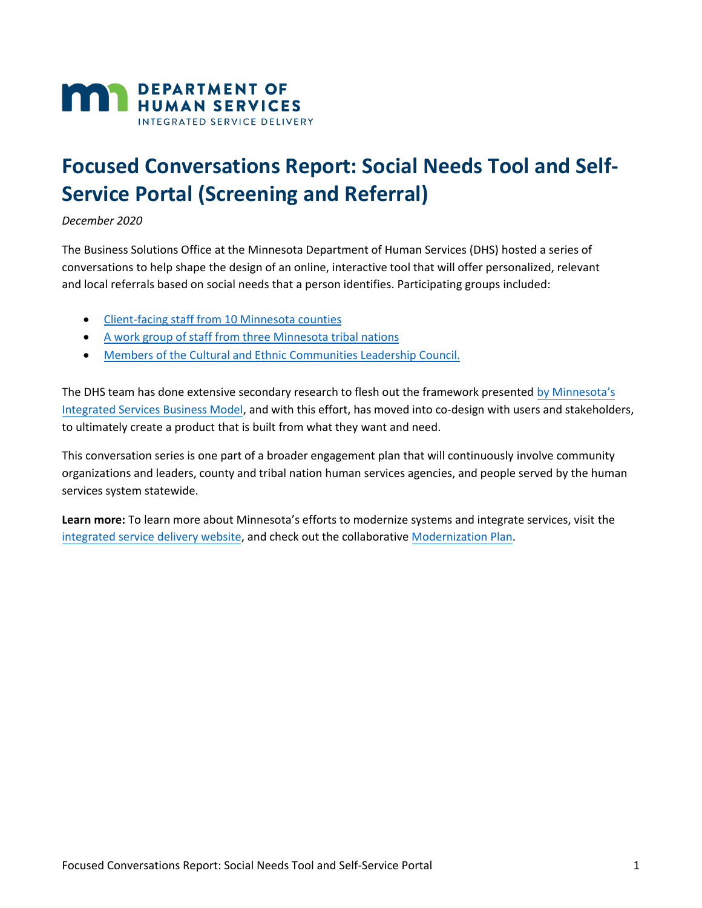

# **Focused Conversations Report: Social Needs Tool and Self-Service Portal (Screening and Referral)**

*December 2020* 

The Business Solutions Office at the Minnesota Department of Human Services (DHS) hosted a series of conversations to help shape the design of an online, interactive tool that will offer personalized, relevant and local referrals based on social needs that a person identifies. Participating groups included:

- [Client-facing staff from 10 Minnesota counties](#page-1-0)
- A [work group of staff from three Minnesota tribal nations](#page-5-0)
- [Members of the Cultural and Ethnic Communities Leadership Council.](#page-9-0)

The DHS team has done extensive secondary research to flesh out the framework presented [by Minnesota's](https://mn.gov/dhs/integrated-services/how-it-works/integrated-services-guide/) [Integrated Services Business Model,](https://mn.gov/dhs/integrated-services/how-it-works/integrated-services-guide/) and with this effort, has moved into co-design with users and stakeholders, to ultimately create a product that is built from what they want and need.

This conversation series is one part of a broader engagement plan that will continuously involve community organizations and leaders, county and tribal nation human services agencies, and people served by the human services system statewide.

**Learn more:** To learn more about Minnesota's efforts to modernize systems and integrate services, visit the [integrated service delivery website,](https://mn.gov/dhs/integrated-services/) and check out the collaborativ[e Modernization](https://mn.gov/dhs/assets/modernization-strategic-plan-june-2019_tcm1053-414737.pdf) Plan.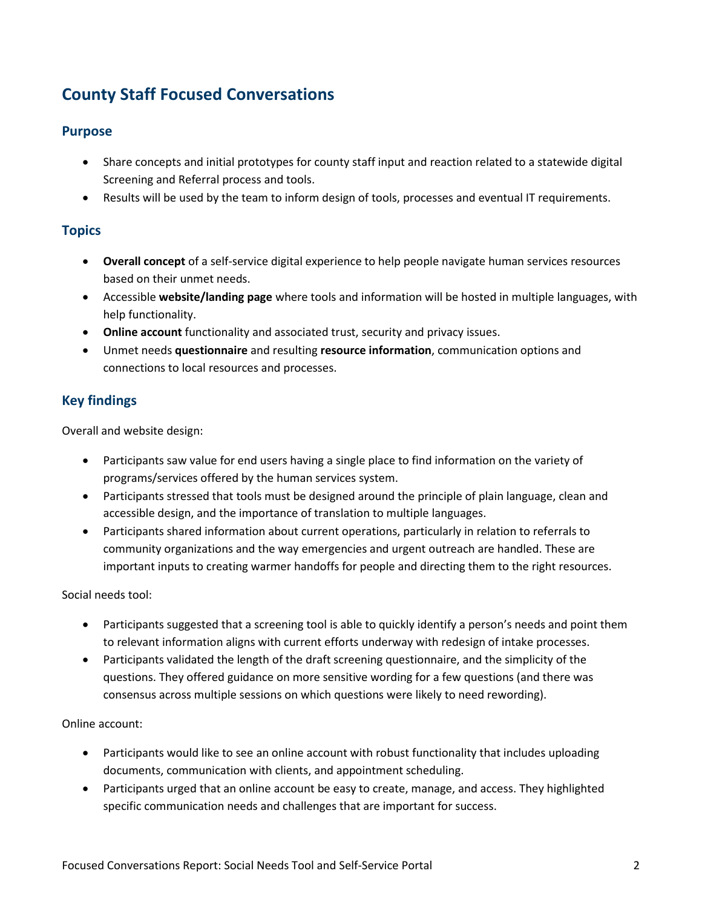# <span id="page-1-0"></span>**County Staff Focused Conversations**

# **Purpose**

- Share concepts and initial prototypes for county staff input and reaction related to a statewide digital Screening and Referral process and tools.
- Results will be used by the team to inform design of tools, processes and eventual IT requirements.

# **Topics**

- **Overall concept** of a self-service digital experience to help people navigate human services resources based on their unmet needs.
- Accessible **website/landing page** where tools and information will be hosted in multiple languages, with help functionality.
- **Online account** functionality and associated trust, security and privacy issues.
- Unmet needs **questionnaire** and resulting **resource information**, communication options and connections to local resources and processes.

# **Key findings**

Overall and website design:

- Participants saw value for end users having a single place to find information on the variety of programs/services offered by the human services system.
- Participants stressed that tools must be designed around the principle of plain language, clean and accessible design, and the importance of translation to multiple languages.
- Participants shared information about current operations, particularly in relation to referrals to community organizations and the way emergencies and urgent outreach are handled. These are important inputs to creating warmer handoffs for people and directing them to the right resources.

Social needs tool:

- Participants suggested that a screening tool is able to quickly identify a person's needs and point them to relevant information aligns with current efforts underway with redesign of intake processes.
- Participants validated the length of the draft screening questionnaire, and the simplicity of the questions. They offered guidance on more sensitive wording for a few questions (and there was consensus across multiple sessions on which questions were likely to need rewording).

#### Online account:

- Participants would like to see an online account with robust functionality that includes uploading documents, communication with clients, and appointment scheduling.
- Participants urged that an online account be easy to create, manage, and access. They highlighted specific communication needs and challenges that are important for success.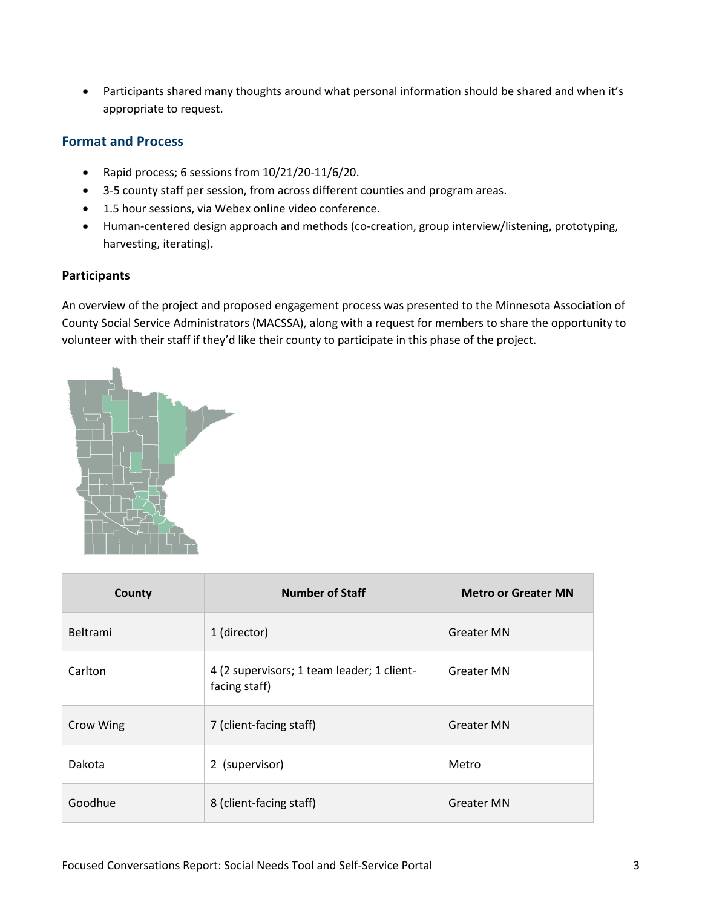Participants shared many thoughts around what personal information should be shared and when it's appropriate to request.

## **Format and Process**

- Rapid process; 6 sessions from 10/21/20-11/6/20.
- 3-5 county staff per session, from across different counties and program areas.
- 1.5 hour sessions, via Webex online video conference.
- Human-centered design approach and methods (co-creation, group interview/listening, prototyping, harvesting, iterating).

#### **Participants**

An overview of the project and proposed engagement process was presented to the Minnesota Association of County Social Service Administrators (MACSSA), along with a request for members to share the opportunity to volunteer with their staff if they'd like their county to participate in this phase of the project.



| County          | <b>Number of Staff</b>                                      | <b>Metro or Greater MN</b> |
|-----------------|-------------------------------------------------------------|----------------------------|
| <b>Beltrami</b> | 1 (director)                                                | <b>Greater MN</b>          |
| Carlton         | 4 (2 supervisors; 1 team leader; 1 client-<br>facing staff) | <b>Greater MN</b>          |
| Crow Wing       | 7 (client-facing staff)                                     | <b>Greater MN</b>          |
| Dakota          | 2 (supervisor)                                              | Metro                      |
| Goodhue         | 8 (client-facing staff)                                     | <b>Greater MN</b>          |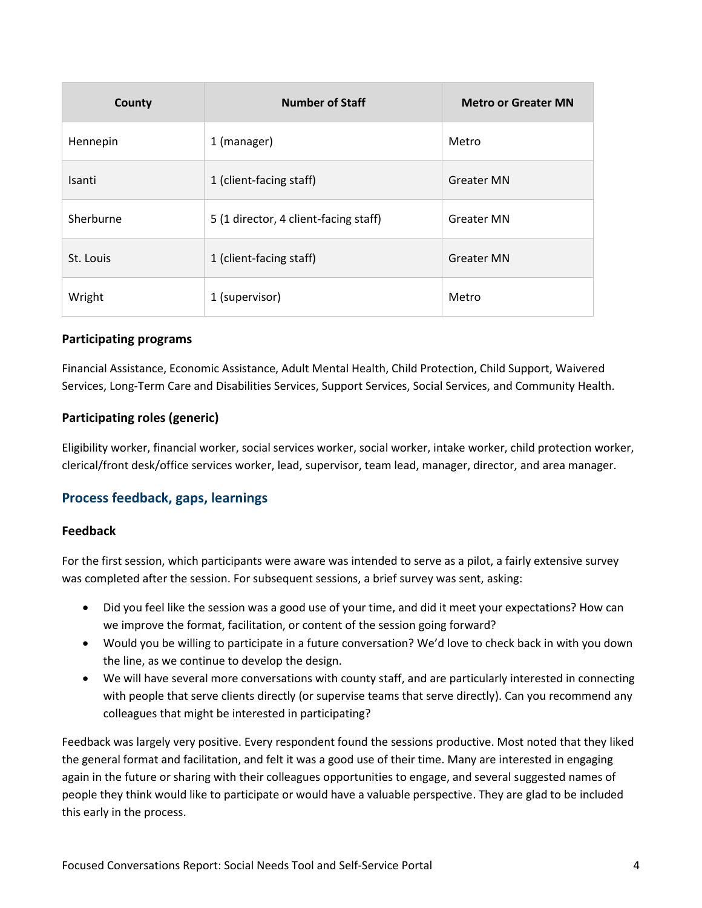| County    | <b>Number of Staff</b>                | <b>Metro or Greater MN</b> |
|-----------|---------------------------------------|----------------------------|
| Hennepin  | 1 (manager)                           | Metro                      |
| Isanti    | 1 (client-facing staff)               | <b>Greater MN</b>          |
| Sherburne | 5 (1 director, 4 client-facing staff) | <b>Greater MN</b>          |
| St. Louis | 1 (client-facing staff)               | <b>Greater MN</b>          |
| Wright    | 1 (supervisor)                        | Metro                      |

#### **Participating programs**

Financial Assistance, Economic Assistance, Adult Mental Health, Child Protection, Child Support, Waivered Services, Long-Term Care and Disabilities Services, Support Services, Social Services, and Community Health.

#### **Participating roles (generic)**

Eligibility worker, financial worker, social services worker, social worker, intake worker, child protection worker, clerical/front desk/office services worker, lead, supervisor, team lead, manager, director, and area manager.

#### **Process feedback, gaps, learnings**

#### **Feedback**

For the first session, which participants were aware was intended to serve as a pilot, a fairly extensive survey was completed after the session. For subsequent sessions, a brief survey was sent, asking:

- Did you feel like the session was a good use of your time, and did it meet your expectations? How can we improve the format, facilitation, or content of the session going forward?
- Would you be willing to participate in a future conversation? We'd love to check back in with you down the line, as we continue to develop the design.
- We will have several more conversations with county staff, and are particularly interested in connecting with people that serve clients directly (or supervise teams that serve directly). Can you recommend any colleagues that might be interested in participating?

Feedback was largely very positive. Every respondent found the sessions productive. Most noted that they liked the general format and facilitation, and felt it was a good use of their time. Many are interested in engaging again in the future or sharing with their colleagues opportunities to engage, and several suggested names of people they think would like to participate or would have a valuable perspective. They are glad to be included this early in the process.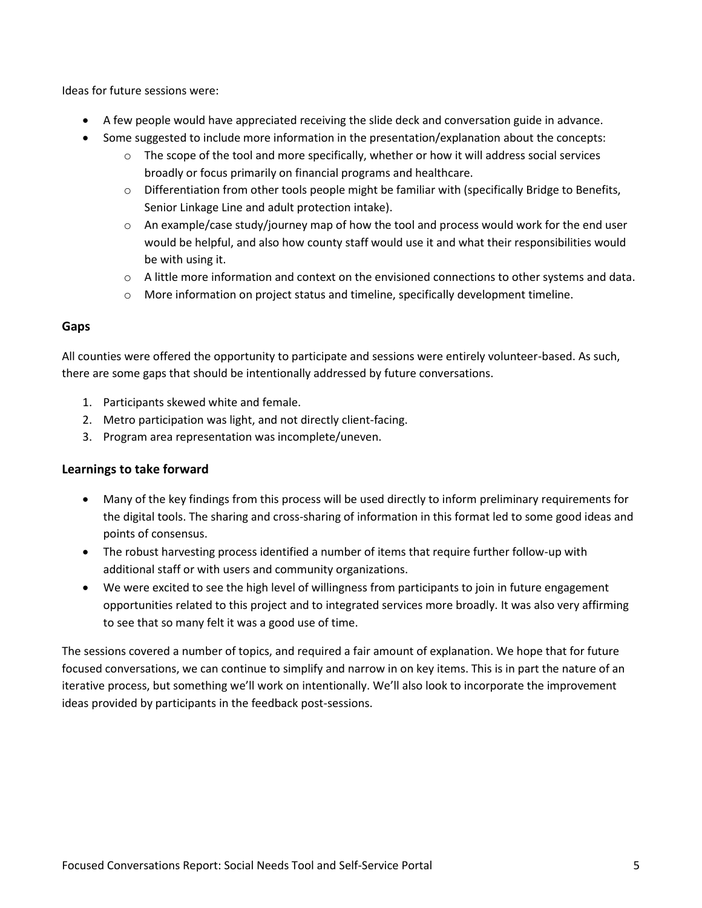Ideas for future sessions were:

- A few people would have appreciated receiving the slide deck and conversation guide in advance.
- Some suggested to include more information in the presentation/explanation about the concepts:
	- $\circ$  The scope of the tool and more specifically, whether or how it will address social services broadly or focus primarily on financial programs and healthcare.
	- $\circ$  Differentiation from other tools people might be familiar with (specifically Bridge to Benefits, Senior Linkage Line and adult protection intake).
	- $\circ$  An example/case study/journey map of how the tool and process would work for the end user would be helpful, and also how county staff would use it and what their responsibilities would be with using it.
	- $\circ$  A little more information and context on the envisioned connections to other systems and data.
	- $\circ$  More information on project status and timeline, specifically development timeline.

#### **Gaps**

All counties were offered the opportunity to participate and sessions were entirely volunteer-based. As such, there are some gaps that should be intentionally addressed by future conversations.

- 1. Participants skewed white and female.
- 2. Metro participation was light, and not directly client-facing.
- 3. Program area representation was incomplete/uneven.

#### **Learnings to take forward**

- Many of the key findings from this process will be used directly to inform preliminary requirements for the digital tools. The sharing and cross-sharing of information in this format led to some good ideas and points of consensus.
- The robust harvesting process identified a number of items that require further follow-up with additional staff or with users and community organizations.
- We were excited to see the high level of willingness from participants to join in future engagement opportunities related to this project and to integrated services more broadly. It was also very affirming to see that so many felt it was a good use of time.

The sessions covered a number of topics, and required a fair amount of explanation. We hope that for future focused conversations, we can continue to simplify and narrow in on key items. This is in part the nature of an iterative process, but something we'll work on intentionally. We'll also look to incorporate the improvement ideas provided by participants in the feedback post-sessions.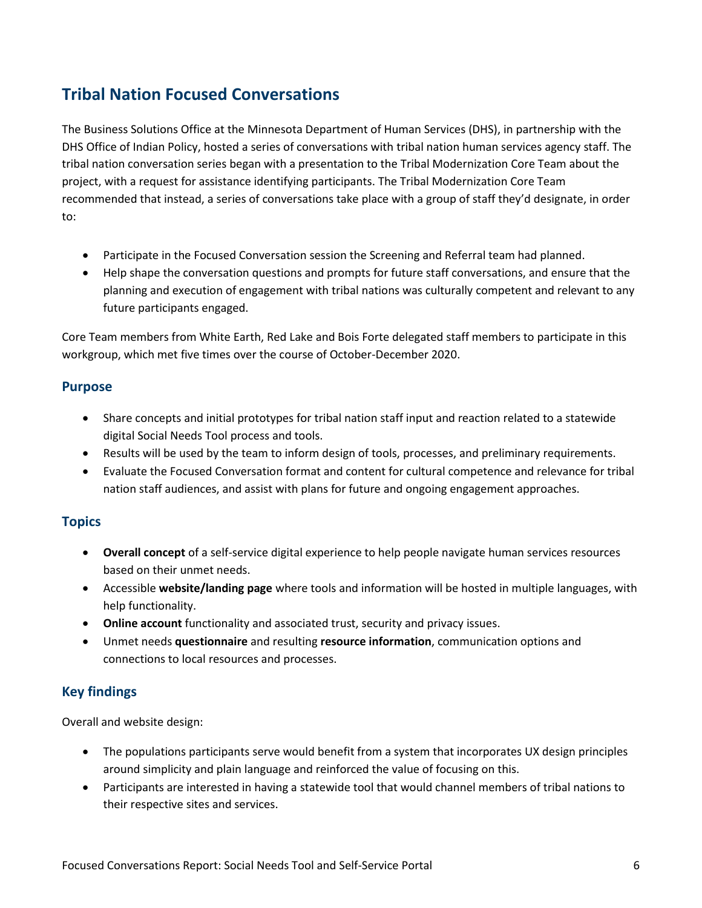# <span id="page-5-0"></span>**Tribal Nation Focused Conversations**

The Business Solutions Office at the Minnesota Department of Human Services (DHS), in partnership with the DHS Office of Indian Policy, hosted a series of conversations with tribal nation human services agency staff. The tribal nation conversation series began with a presentation to the Tribal Modernization Core Team about the project, with a request for assistance identifying participants. The Tribal Modernization Core Team recommended that instead, a series of conversations take place with a group of staff they'd designate, in order to:

- Participate in the Focused Conversation session the Screening and Referral team had planned.
- Help shape the conversation questions and prompts for future staff conversations, and ensure that the planning and execution of engagement with tribal nations was culturally competent and relevant to any future participants engaged.

Core Team members from White Earth, Red Lake and Bois Forte delegated staff members to participate in this workgroup, which met five times over the course of October-December 2020.

### **Purpose**

- Share concepts and initial prototypes for tribal nation staff input and reaction related to a statewide digital Social Needs Tool process and tools.
- Results will be used by the team to inform design of tools, processes, and preliminary requirements.
- Evaluate the Focused Conversation format and content for cultural competence and relevance for tribal nation staff audiences, and assist with plans for future and ongoing engagement approaches.

# **Topics**

- **Overall concept** of a self-service digital experience to help people navigate human services resources based on their unmet needs.
- Accessible **website/landing page** where tools and information will be hosted in multiple languages, with help functionality.
- **Online account** functionality and associated trust, security and privacy issues.
- Unmet needs **questionnaire** and resulting **resource information**, communication options and connections to local resources and processes.

# **Key findings**

Overall and website design:

- The populations participants serve would benefit from a system that incorporates UX design principles around simplicity and plain language and reinforced the value of focusing on this.
- Participants are interested in having a statewide tool that would channel members of tribal nations to their respective sites and services.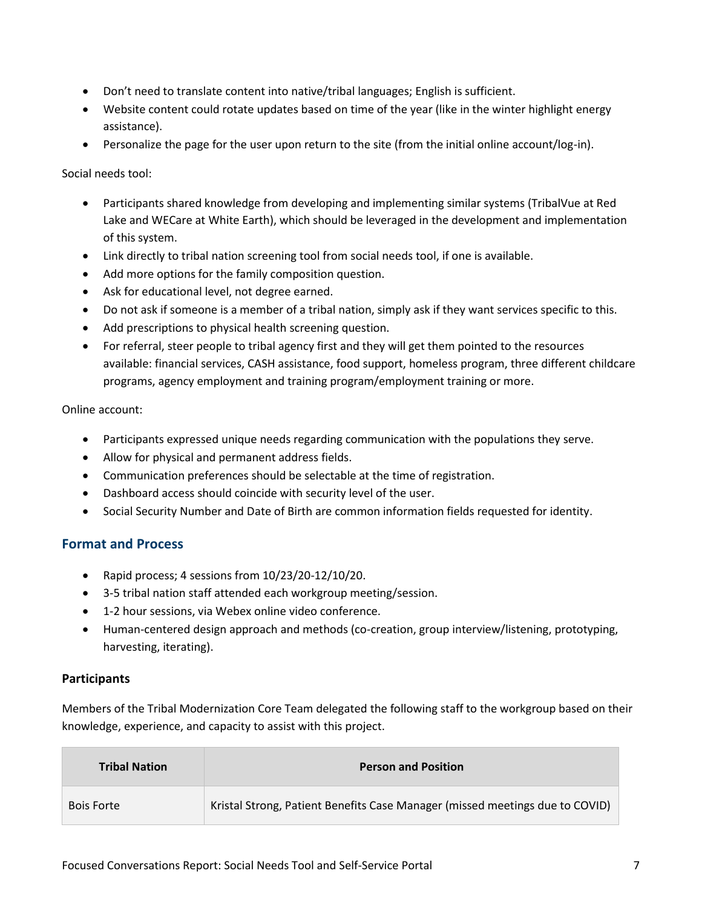- Don't need to translate content into native/tribal languages; English is sufficient.
- Website content could rotate updates based on time of the year (like in the winter highlight energy assistance).
- Personalize the page for the user upon return to the site (from the initial online account/log-in).

Social needs tool:

- Participants shared knowledge from developing and implementing similar systems (TribalVue at Red Lake and WECare at White Earth), which should be leveraged in the development and implementation of this system.
- Link directly to tribal nation screening tool from social needs tool, if one is available.
- Add more options for the family composition question.
- Ask for educational level, not degree earned.
- Do not ask if someone is a member of a tribal nation, simply ask if they want services specific to this.
- Add prescriptions to physical health screening question.
- For referral, steer people to tribal agency first and they will get them pointed to the resources available: financial services, CASH assistance, food support, homeless program, three different childcare programs, agency employment and training program/employment training or more.

Online account:

- Participants expressed unique needs regarding communication with the populations they serve.
- Allow for physical and permanent address fields.
- Communication preferences should be selectable at the time of registration.
- Dashboard access should coincide with security level of the user.
- Social Security Number and Date of Birth are common information fields requested for identity.

# **Format and Process**

- Rapid process; 4 sessions from 10/23/20-12/10/20.
- 3-5 tribal nation staff attended each workgroup meeting/session.
- 1-2 hour sessions, via Webex online video conference.
- Human-centered design approach and methods (co-creation, group interview/listening, prototyping, harvesting, iterating).

#### **Participants**

Members of the Tribal Modernization Core Team delegated the following staff to the workgroup based on their knowledge, experience, and capacity to assist with this project.

| <b>Tribal Nation</b> | <b>Person and Position</b>                                                   |
|----------------------|------------------------------------------------------------------------------|
| <b>Bois Forte</b>    | Kristal Strong, Patient Benefits Case Manager (missed meetings due to COVID) |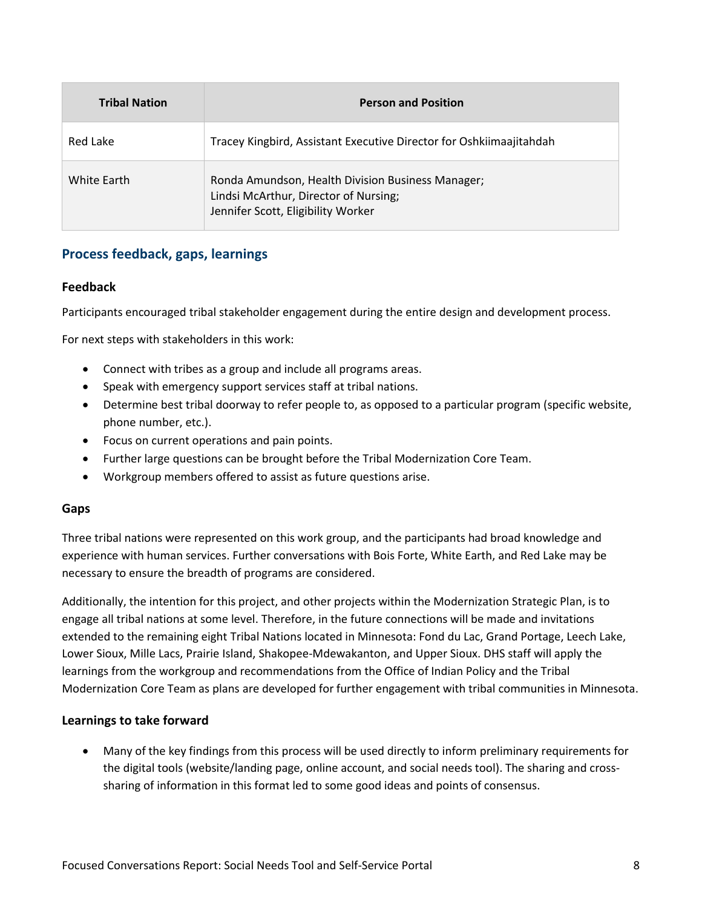| <b>Tribal Nation</b> | <b>Person and Position</b>                                                                                                       |  |
|----------------------|----------------------------------------------------------------------------------------------------------------------------------|--|
| Red Lake             | Tracey Kingbird, Assistant Executive Director for Oshkiimaajitahdah                                                              |  |
| White Earth          | Ronda Amundson, Health Division Business Manager;<br>Lindsi McArthur, Director of Nursing;<br>Jennifer Scott, Eligibility Worker |  |

# **Process feedback, gaps, learnings**

#### **Feedback**

Participants encouraged tribal stakeholder engagement during the entire design and development process.

For next steps with stakeholders in this work:

- Connect with tribes as a group and include all programs areas.
- Speak with emergency support services staff at tribal nations.
- Determine best tribal doorway to refer people to, as opposed to a particular program (specific website, phone number, etc.).
- Focus on current operations and pain points.
- Further large questions can be brought before the Tribal Modernization Core Team.
- Workgroup members offered to assist as future questions arise.

#### **Gaps**

Three tribal nations were represented on this work group, and the participants had broad knowledge and experience with human services. Further conversations with Bois Forte, White Earth, and Red Lake may be necessary to ensure the breadth of programs are considered.

Additionally, the intention for this project, and other projects within the Modernization Strategic Plan, is to engage all tribal nations at some level. Therefore, in the future connections will be made and invitations extended to the remaining eight Tribal Nations located in Minnesota: Fond du Lac, Grand Portage, Leech Lake, Lower Sioux, Mille Lacs, Prairie Island, Shakopee-Mdewakanton, and Upper Sioux. DHS staff will apply the learnings from the workgroup and recommendations from the Office of Indian Policy and the Tribal Modernization Core Team as plans are developed for further engagement with tribal communities in Minnesota.

#### **Learnings to take forward**

 Many of the key findings from this process will be used directly to inform preliminary requirements for the digital tools (website/landing page, online account, and social needs tool). The sharing and crosssharing of information in this format led to some good ideas and points of consensus.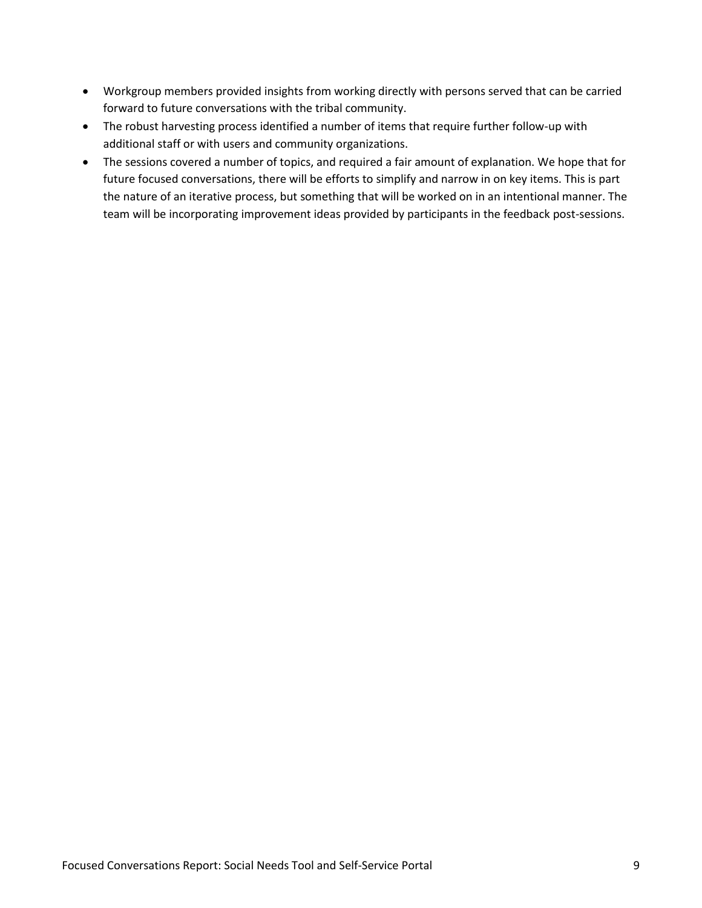- Workgroup members provided insights from working directly with persons served that can be carried forward to future conversations with the tribal community.
- The robust harvesting process identified a number of items that require further follow-up with additional staff or with users and community organizations.
- The sessions covered a number of topics, and required a fair amount of explanation. We hope that for future focused conversations, there will be efforts to simplify and narrow in on key items. This is part the nature of an iterative process, but something that will be worked on in an intentional manner. The team will be incorporating improvement ideas provided by participants in the feedback post-sessions.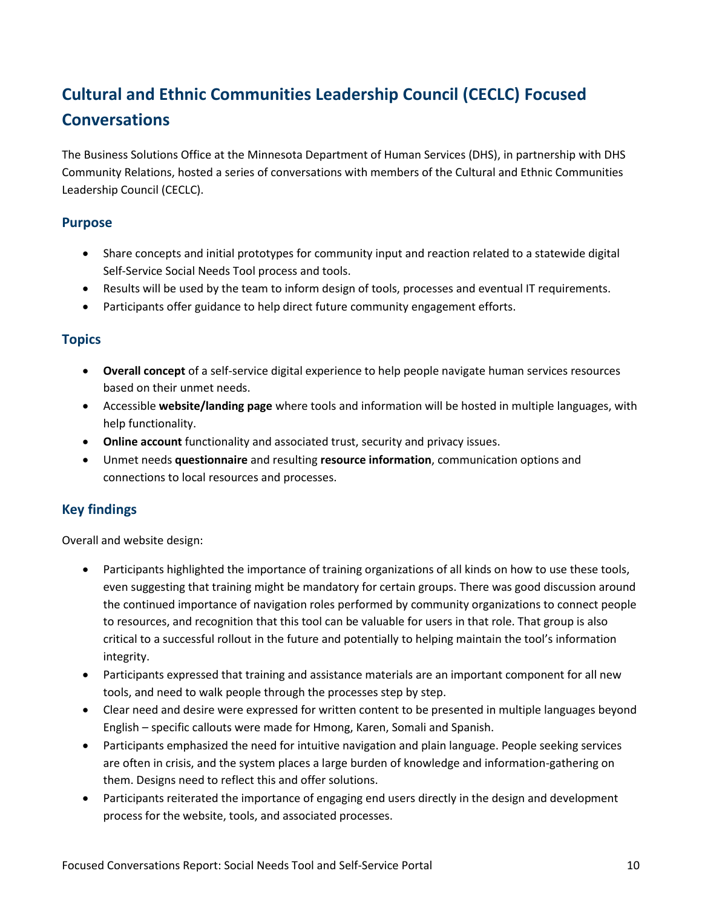# <span id="page-9-0"></span>**Cultural and Ethnic Communities Leadership Council (CECLC) Focused Conversations**

The Business Solutions Office at the Minnesota Department of Human Services (DHS), in partnership with DHS Community Relations, hosted a series of conversations with members of the Cultural and Ethnic Communities Leadership Council (CECLC).

# **Purpose**

- Share concepts and initial prototypes for community input and reaction related to a statewide digital Self-Service Social Needs Tool process and tools.
- Results will be used by the team to inform design of tools, processes and eventual IT requirements.
- Participants offer guidance to help direct future community engagement efforts.

# **Topics**

- **Overall concept** of a self-service digital experience to help people navigate human services resources based on their unmet needs.
- Accessible **website/landing page** where tools and information will be hosted in multiple languages, with help functionality.
- **Online account** functionality and associated trust, security and privacy issues.
- Unmet needs **questionnaire** and resulting **resource information**, communication options and connections to local resources and processes.

# **Key findings**

Overall and website design:

- Participants highlighted the importance of training organizations of all kinds on how to use these tools, even suggesting that training might be mandatory for certain groups. There was good discussion around the continued importance of navigation roles performed by community organizations to connect people to resources, and recognition that this tool can be valuable for users in that role. That group is also critical to a successful rollout in the future and potentially to helping maintain the tool's information integrity.
- Participants expressed that training and assistance materials are an important component for all new tools, and need to walk people through the processes step by step.
- Clear need and desire were expressed for written content to be presented in multiple languages beyond English – specific callouts were made for Hmong, Karen, Somali and Spanish.
- Participants emphasized the need for intuitive navigation and plain language. People seeking services are often in crisis, and the system places a large burden of knowledge and information-gathering on them. Designs need to reflect this and offer solutions.
- Participants reiterated the importance of engaging end users directly in the design and development process for the website, tools, and associated processes.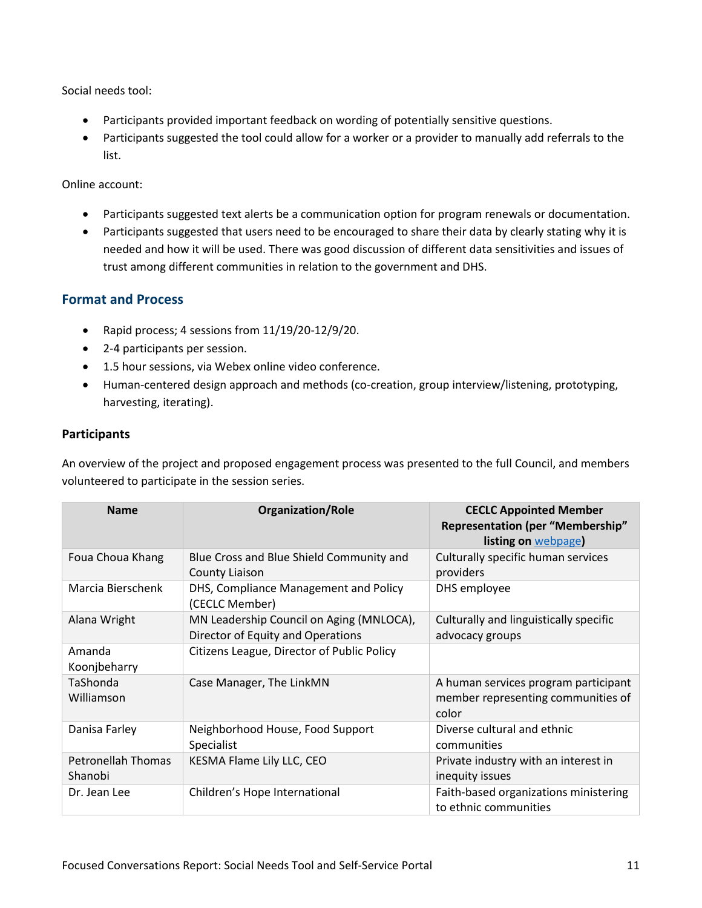Social needs tool:

- Participants provided important feedback on wording of potentially sensitive questions.
- Participants suggested the tool could allow for a worker or a provider to manually add referrals to the list.

Online account:

- Participants suggested text alerts be a communication option for program renewals or documentation.
- Participants suggested that users need to be encouraged to share their data by clearly stating why it is needed and how it will be used. There was good discussion of different data sensitivities and issues of trust among different communities in relation to the government and DHS.

# **Format and Process**

- Rapid process; 4 sessions from 11/19/20-12/9/20.
- 2-4 participants per session.
- 1.5 hour sessions, via Webex online video conference.
- Human-centered design approach and methods (co-creation, group interview/listening, prototyping, harvesting, iterating).

### **Participants**

An overview of the project and proposed engagement process was presented to the full Council, and members volunteered to participate in the session series.

| <b>Name</b>                   | <b>Organization/Role</b>                                                      | <b>CECLC Appointed Member</b><br><b>Representation (per "Membership"</b><br>listing on webpage) |
|-------------------------------|-------------------------------------------------------------------------------|-------------------------------------------------------------------------------------------------|
| Foua Choua Khang              | Blue Cross and Blue Shield Community and<br>County Liaison                    | Culturally specific human services<br>providers                                                 |
| Marcia Bierschenk             | DHS, Compliance Management and Policy<br>(CECLC Member)                       | DHS employee                                                                                    |
| Alana Wright                  | MN Leadership Council on Aging (MNLOCA),<br>Director of Equity and Operations | Culturally and linguistically specific<br>advocacy groups                                       |
| Amanda<br>Koonjbeharry        | Citizens League, Director of Public Policy                                    |                                                                                                 |
| TaShonda<br>Williamson        | Case Manager, The LinkMN                                                      | A human services program participant<br>member representing communities of<br>color             |
| Danisa Farley                 | Neighborhood House, Food Support<br><b>Specialist</b>                         | Diverse cultural and ethnic<br>communities                                                      |
| Petronellah Thomas<br>Shanobi | KESMA Flame Lily LLC, CEO                                                     | Private industry with an interest in<br>inequity issues                                         |
| Dr. Jean Lee                  | Children's Hope International                                                 | Faith-based organizations ministering<br>to ethnic communities                                  |